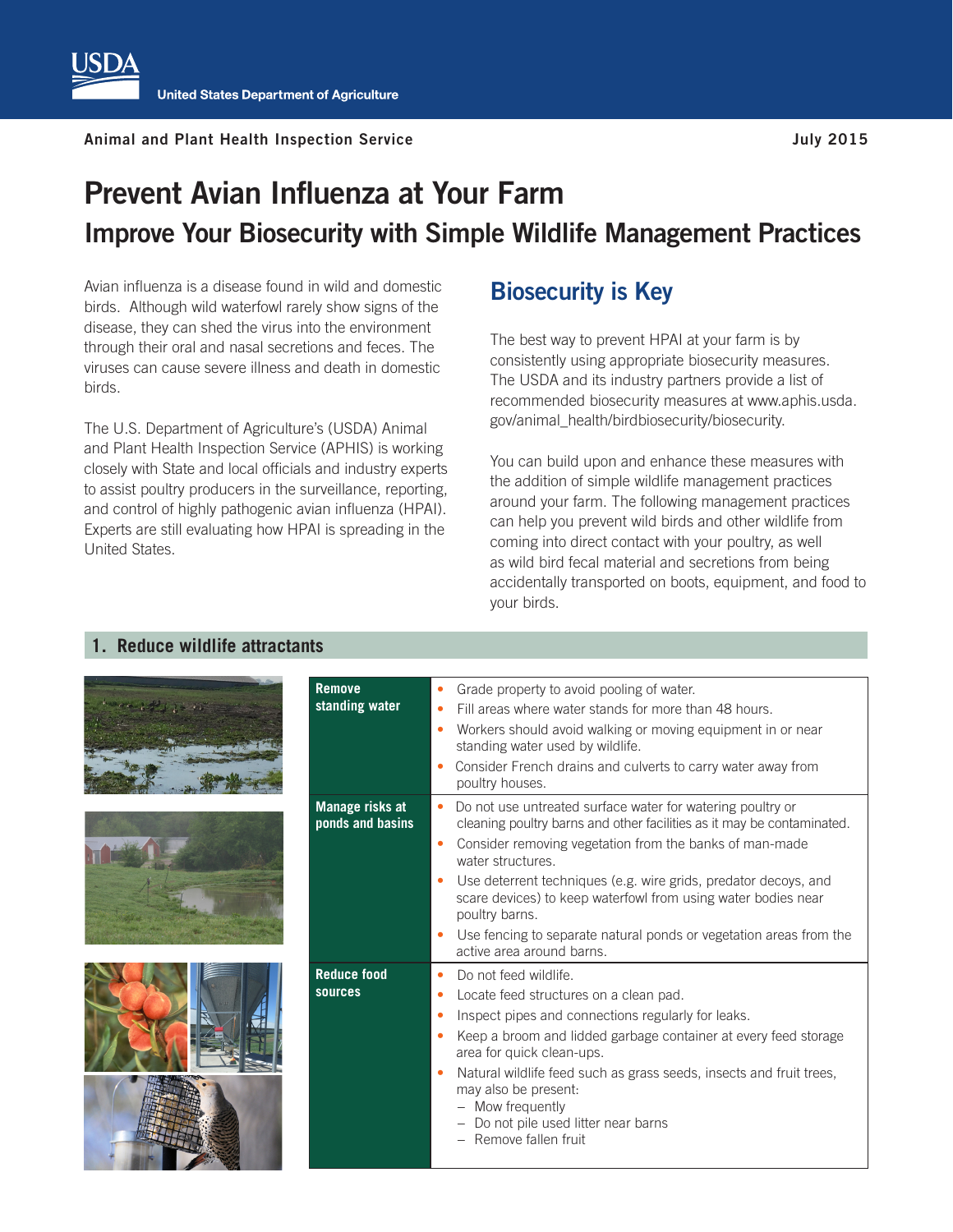## **Prevent Avian Influenza at Your Farm Improve Your Biosecurity with Simple Wildlife Management Practices**

Avian influenza is a disease found in wild and domestic birds. Although wild waterfowl rarely show signs of the disease, they can shed the virus into the environment through their oral and nasal secretions and feces. The viruses can cause severe illness and death in domestic birds.

The U.S. Department of Agriculture's (USDA) Animal and Plant Health Inspection Service (APHIS) is working closely with State and local officials and industry experts to assist poultry producers in the surveillance, reporting, and control of highly pathogenic avian influenza (HPAI). Experts are still evaluating how HPAI is spreading in the United States.

## **Biosecurity is Key**

The best way to prevent HPAI at your farm is by consistently using appropriate biosecurity measures. The USDA and its industry partners provide a list of recommended biosecurity measures at www.aphis.usda. gov/animal\_health/birdbiosecurity/biosecurity.

You can build upon and enhance these measures with the addition of simple wildlife management practices around your farm. The following management practices can help you prevent wild birds and other wildlife from coming into direct contact with your poultry, as well as wild bird fecal material and secretions from being accidentally transported on boots, equipment, and food to your birds.

## **1. Reduce wildlife attractants**



|       | ponds and basins              |
|-------|-------------------------------|
|       |                               |
| $-12$ | <b>Reduce food</b><br>sources |



| <b>Remove</b><br>standing water     | Grade property to avoid pooling of water.<br>Fill areas where water stands for more than 48 hours.<br>$\bullet$<br>Workers should avoid walking or moving equipment in or near<br>$\bullet$<br>standing water used by wildlife.<br>Consider French drains and culverts to carry water away from<br>٠<br>poultry houses.                                                                                                                                                                                   |
|-------------------------------------|-----------------------------------------------------------------------------------------------------------------------------------------------------------------------------------------------------------------------------------------------------------------------------------------------------------------------------------------------------------------------------------------------------------------------------------------------------------------------------------------------------------|
| Manage risks at<br>ponds and basins | Do not use untreated surface water for watering poultry or<br>$\bullet$<br>cleaning poultry barns and other facilities as it may be contaminated.<br>Consider removing vegetation from the banks of man-made<br>٠<br>water structures.<br>Use deterrent techniques (e.g. wire grids, predator decoys, and<br>۰<br>scare devices) to keep waterfowl from using water bodies near<br>poultry barns.<br>Use fencing to separate natural ponds or vegetation areas from the<br>٠<br>active area around barns. |
| <b>Reduce food</b><br>sources       | Do not feed wildlife.<br>٠<br>Locate feed structures on a clean pad.<br>٠<br>Inspect pipes and connections regularly for leaks.<br>۰<br>Keep a broom and lidded garbage container at every feed storage<br>$\bullet$<br>area for quick clean-ups.<br>Natural wildlife feed such as grass seeds, insects and fruit trees,<br>۰<br>may also be present:<br>- Mow frequently<br>- Do not pile used litter near barns<br>- Remove fallen fruit                                                                |